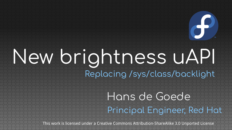# New brightness uAPI Replacing /sys/class/backlight

#### Hans de Goede Principal Engineer, Red Hat

This work is licensed under a Creative Commons Attribution-ShareAlike 3.0 Unported License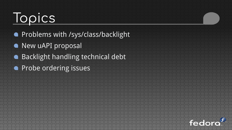## Topics

- **Problems with /sys/class/backlight**
- New uAPI proposal
- **Backlight handling technical debt**
- **Probe ordering issues**

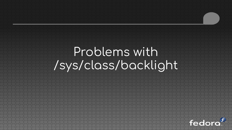### Problems with /sys/class/backlight

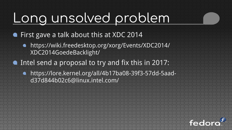## Long unsolved problem

- First gave a talk about this at XDC 2014
	- https://wiki.freedesktop.org/xorg/Events/XDC2014/ XDC2014GoedeBacklight/
- Intel send a proposal to try and fix this in 2017:
	- https://lore.kernel.org/all/4b17ba08-39f3-57dd-5aadd37d844b02c6@linux.intel.com/

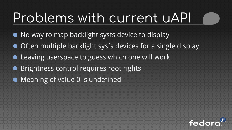## Problems with current uAPI

- No way to map backlight sysfs device to display
- **Often multiple backlight sysfs devices for a single display**
- **.** Leaving userspace to guess which one will work
- **Brightness control requires root rights**
- Meaning of value 0 is undefined

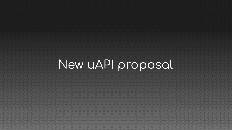## New uAPI proposal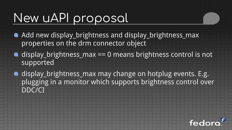#### New uAPI proposal

- Add new display\_brightness and display\_brightness\_max properties on the drm connector object
- $\bullet$  display\_brightness\_max == 0 means brightness control is not supported
- display\_brightness\_max may change on hotplug events. E.g. plugging in a monitor which supports brightness control over DDC/CI

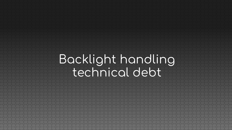#### Backlight handling technical debt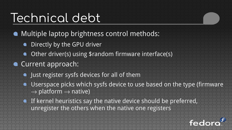#### Technical debt

- Multiple laptop brightness control methods:  $\bullet$ 
	- **•** Directly by the GPU driver
	- **Other driver(s) using \$random firmware interface(s)**
- **Current approach:** 
	- **I lust register sysfs devices for all of them**
	- **Userspace picks which sysfs device to use based on the type (firmware**  $\rightarrow$  platform  $\rightarrow$  native)
	- **If kernel heuristics say the native device should be preferred,** unregister the others when the native one registers

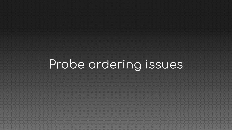## Probe ordering issues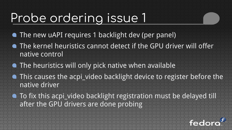#### Probe ordering issue 1

- The new uAPI requires 1 backlight dev (per panel)
- The kernel heuristics cannot detect if the GPU driver will offer native control
- **The heuristics will only pick native when available**
- **This causes the acpi\_video backlight device to register before the** native driver
- To fix this acpi\_video backlight registration must be delayed till after the GPU drivers are done probing

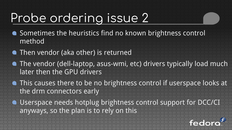#### Probe ordering issue 2

- Sometimes the heuristics find no known brightness control method
- **Then vendor (aka other) is returned**
- The vendor (dell-laptop, asus-wmi, etc) drivers typically load much later then the GPU drivers
- This causes there to be no brightness control if userspace looks at the drm connectors early
- **.** Userspace needs hotplug brightness control support for DCC/CI anyways, so the plan is to rely on this